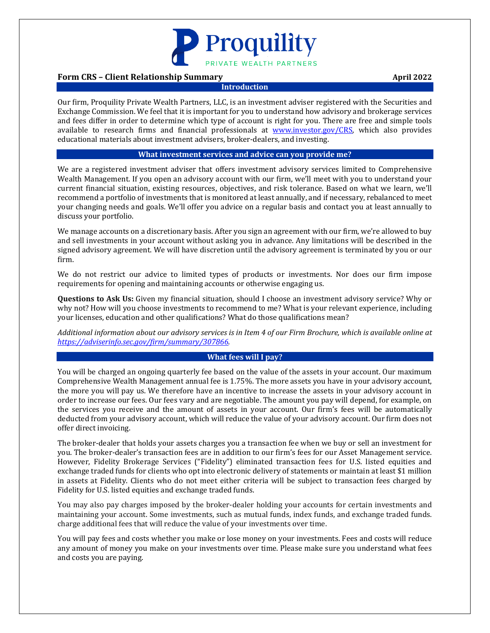

## **Form CRS – Client Relationship Summary <b>April 2022 April 2022**

#### **Introduction**

Our firm, Proquility Private Wealth Partners, LLC, is an investment adviser registered with the Securities and Exchange Commission. We feel that it is important for you to understand how advisory and brokerage services and fees differ in order to determine which type of account is right for you. There are free and simple tools available to research firms and financial professionals at [www.investor.gov/CRS,](http://www.investor.gov/CRS) which also provides educational materials about investment advisers, broker-dealers, and investing.

#### **What investment services and advice can you provide me?**

We are a registered investment adviser that offers investment advisory services limited to Comprehensive Wealth Management. If you open an advisory account with our firm, we'll meet with you to understand your current financial situation, existing resources, objectives, and risk tolerance. Based on what we learn, we'll recommend a portfolio of investments that is monitored at least annually, and if necessary, rebalanced to meet your changing needs and goals. We'll offer you advice on a regular basis and contact you at least annually to discuss your portfolio.

We manage accounts on a discretionary basis. After you sign an agreement with our firm, we're allowed to buy and sell investments in your account without asking you in advance. Any limitations will be described in the signed advisory agreement. We will have discretion until the advisory agreement is terminated by you or our firm.

We do not restrict our advice to limited types of products or investments. Nor does our firm impose requirements for opening and maintaining accounts or otherwise engaging us.

**Questions to Ask Us:** Given my financial situation, should I choose an investment advisory service? Why or why not? How will you choose investments to recommend to me? What is your relevant experience, including your licenses, education and other qualifications? What do those qualifications mean?

*Additional information about our advisory services is in Item 4 of our Firm Brochure, which is available online at [https://adviserinfo.sec.gov/firm/summary/307866.](https://adviserinfo.sec.gov/firm/summary/307866)*

### **What fees will I pay?**

You will be charged an ongoing quarterly fee based on the value of the assets in your account. Our maximum Comprehensive Wealth Management annual fee is 1.75%. The more assets you have in your advisory account, the more you will pay us. We therefore have an incentive to increase the assets in your advisory account in order to increase our fees. Our fees vary and are negotiable. The amount you pay will depend, for example, on the services you receive and the amount of assets in your account. Our firm's fees will be automatically deducted from your advisory account, which will reduce the value of your advisory account. Our firm does not offer direct invoicing.

The broker-dealer that holds your assets charges you a transaction fee when we buy or sell an investment for you. The broker-dealer's transaction fees are in addition to our firm's fees for our Asset Management service. However, Fidelity Brokerage Services ("Fidelity") eliminated transaction fees for U.S. listed equities and exchange traded funds for clients who opt into electronic delivery of statements or maintain at least \$1 million in assets at Fidelity. Clients who do not meet either criteria will be subject to transaction fees charged by Fidelity for U.S. listed equities and exchange traded funds.

You may also pay charges imposed by the broker-dealer holding your accounts for certain investments and maintaining your account. Some investments, such as mutual funds, index funds, and exchange traded funds. charge additional fees that will reduce the value of your investments over time.

You will pay fees and costs whether you make or lose money on your investments. Fees and costs will reduce any amount of money you make on your investments over time. Please make sure you understand what fees and costs you are paying.